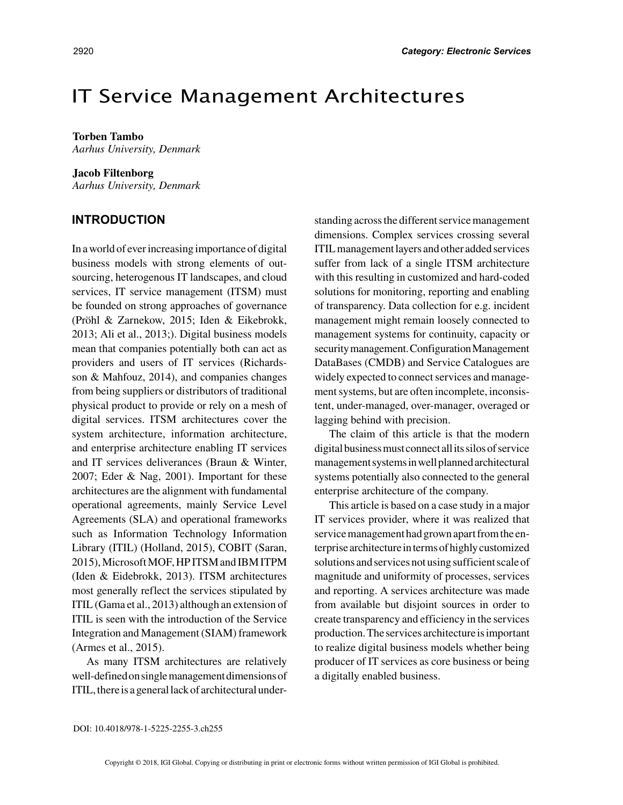# IT Service Management Architectures

# **Torben Tambo**

*Aarhus University, Denmark*

### **Jacob Filtenborg**

*Aarhus University, Denmark*

### **INTRODUCTION**

In a world of ever increasing importance of digital business models with strong elements of outsourcing, heterogenous IT landscapes, and cloud services, IT service management (ITSM) must be founded on strong approaches of governance (Pröhl & Zarnekow, 2015; Iden & Eikebrokk, 2013; Ali et al., 2013;). Digital business models mean that companies potentially both can act as providers and users of IT services (Richardsson & Mahfouz, 2014), and companies changes from being suppliers or distributors of traditional physical product to provide or rely on a mesh of digital services. ITSM architectures cover the system architecture, information architecture, and enterprise architecture enabling IT services and IT services deliverances (Braun & Winter, 2007; Eder & Nag, 2001). Important for these architectures are the alignment with fundamental operational agreements, mainly Service Level Agreements (SLA) and operational frameworks such as Information Technology Information Library (ITIL) (Holland, 2015), COBIT (Saran, 2015), Microsoft MOF, HP ITSM and IBM ITPM (Iden & Eidebrokk, 2013). ITSM architectures most generally reflect the services stipulated by ITIL (Gama et al., 2013) although an extension of ITIL is seen with the introduction of the Service Integration and Management (SIAM) framework (Armes et al., 2015).

As many ITSM architectures are relatively well-defined on single management dimensions of ITIL, there is a general lack of architectural understanding across the different service management dimensions. Complex services crossing several ITIL management layers and other added services suffer from lack of a single ITSM architecture with this resulting in customized and hard-coded solutions for monitoring, reporting and enabling of transparency. Data collection for e.g. incident management might remain loosely connected to management systems for continuity, capacity or security management. Configuration Management DataBases (CMDB) and Service Catalogues are widely expected to connect services and management systems, but are often incomplete, inconsistent, under-managed, over-manager, overaged or lagging behind with precision.

The claim of this article is that the modern digital business must connect all its silos of service management systems in well planned architectural systems potentially also connected to the general enterprise architecture of the company.

This article is based on a case study in a major IT services provider, where it was realized that service management had grown apart from the enterprise architecture in terms of highly customized solutions and services not using sufficient scale of magnitude and uniformity of processes, services and reporting. A services architecture was made from available but disjoint sources in order to create transparency and efficiency in the services production. The services architecture is important to realize digital business models whether being producer of IT services as core business or being a digitally enabled business.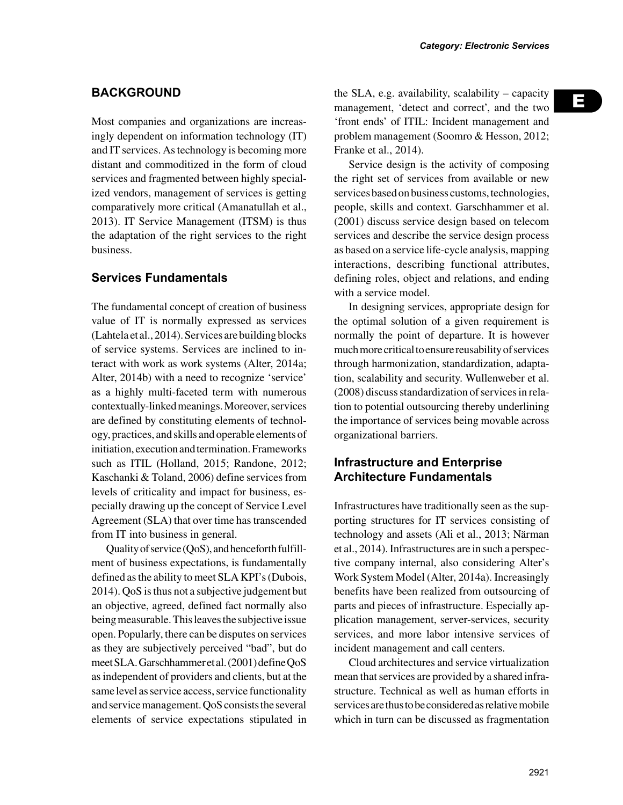# **BACKGROUND**

Most companies and organizations are increasingly dependent on information technology (IT) and IT services. As technology is becoming more distant and commoditized in the form of cloud services and fragmented between highly specialized vendors, management of services is getting comparatively more critical (Amanatullah et al., 2013). IT Service Management (ITSM) is thus the adaptation of the right services to the right business.

### **Services Fundamentals**

The fundamental concept of creation of business value of IT is normally expressed as services (Lahtela et al., 2014). Services are building blocks of service systems. Services are inclined to interact with work as work systems (Alter, 2014a; Alter, 2014b) with a need to recognize 'service' as a highly multi-faceted term with numerous contextually-linked meanings. Moreover, services are defined by constituting elements of technology, practices, and skills and operable elements of initiation, execution and termination. Frameworks such as ITIL (Holland, 2015; Randone, 2012; Kaschanki & Toland, 2006) define services from levels of criticality and impact for business, especially drawing up the concept of Service Level Agreement (SLA) that over time has transcended from IT into business in general.

Quality of service (QoS), and henceforth fulfillment of business expectations, is fundamentally defined as the ability to meet SLA KPI's (Dubois, 2014). QoS is thus not a subjective judgement but an objective, agreed, defined fact normally also being measurable. This leaves the subjective issue open. Popularly, there can be disputes on services as they are subjectively perceived "bad", but do meet SLA. Garschhammer et al. (2001) define QoS as independent of providers and clients, but at the same level as service access, service functionality and service management. QoS consists the several elements of service expectations stipulated in the SLA, e.g. availability, scalability – capacity management, 'detect and correct', and the two 'front ends' of ITIL: Incident management and problem management (Soomro & Hesson, 2012; Franke et al., 2014).

Service design is the activity of composing the right set of services from available or new services based on business customs, technologies, people, skills and context. Garschhammer et al. (2001) discuss service design based on telecom services and describe the service design process as based on a service life-cycle analysis, mapping interactions, describing functional attributes, defining roles, object and relations, and ending with a service model.

In designing services, appropriate design for the optimal solution of a given requirement is normally the point of departure. It is however much more critical to ensure reusability of services through harmonization, standardization, adaptation, scalability and security. Wullenweber et al. (2008) discuss standardization of services in relation to potential outsourcing thereby underlining the importance of services being movable across organizational barriers.

# **Infrastructure and Enterprise Architecture Fundamentals**

Infrastructures have traditionally seen as the supporting structures for IT services consisting of technology and assets (Ali et al., 2013; Närman et al., 2014). Infrastructures are in such a perspective company internal, also considering Alter's Work System Model (Alter, 2014a). Increasingly benefits have been realized from outsourcing of parts and pieces of infrastructure. Especially application management, server-services, security services, and more labor intensive services of incident management and call centers.

Cloud architectures and service virtualization mean that services are provided by a shared infrastructure. Technical as well as human efforts in services are thus to be considered as relative mobile which in turn can be discussed as fragmentation